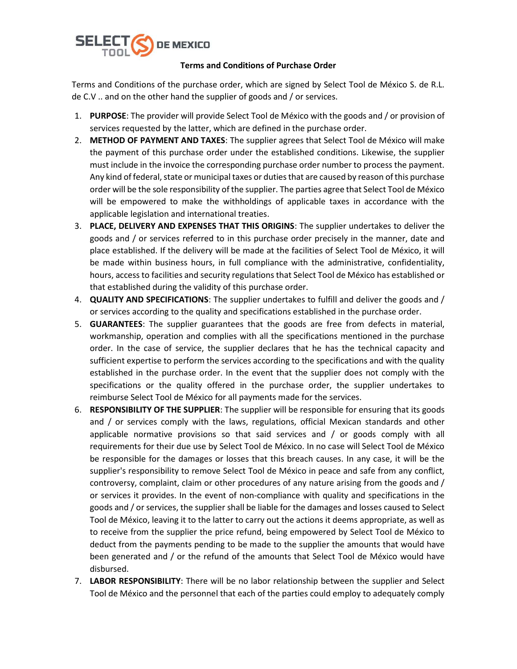

## Terms and Conditions of Purchase Order

Terms and Conditions of the purchase order, which are signed by Select Tool de México S. de R.L. de C.V .. and on the other hand the supplier of goods and / or services.

- 1. PURPOSE: The provider will provide Select Tool de México with the goods and / or provision of services requested by the latter, which are defined in the purchase order.
- 2. METHOD OF PAYMENT AND TAXES: The supplier agrees that Select Tool de México will make the payment of this purchase order under the established conditions. Likewise, the supplier must include in the invoice the corresponding purchase order number to process the payment. Any kind of federal, state or municipal taxes or duties that are caused by reason of this purchase order will be the sole responsibility of the supplier. The parties agree that Select Tool de México will be empowered to make the withholdings of applicable taxes in accordance with the applicable legislation and international treaties.
- 3. PLACE, DELIVERY AND EXPENSES THAT THIS ORIGINS: The supplier undertakes to deliver the goods and / or services referred to in this purchase order precisely in the manner, date and place established. If the delivery will be made at the facilities of Select Tool de México, it will be made within business hours, in full compliance with the administrative, confidentiality, hours, access to facilities and security regulations that Select Tool de México has established or that established during the validity of this purchase order.
- 4. **QUALITY AND SPECIFICATIONS:** The supplier undertakes to fulfill and deliver the goods and / or services according to the quality and specifications established in the purchase order.
- 5. GUARANTEES: The supplier guarantees that the goods are free from defects in material, workmanship, operation and complies with all the specifications mentioned in the purchase order. In the case of service, the supplier declares that he has the technical capacity and sufficient expertise to perform the services according to the specifications and with the quality established in the purchase order. In the event that the supplier does not comply with the specifications or the quality offered in the purchase order, the supplier undertakes to reimburse Select Tool de México for all payments made for the services.
- 6. RESPONSIBILITY OF THE SUPPLIER: The supplier will be responsible for ensuring that its goods and / or services comply with the laws, regulations, official Mexican standards and other applicable normative provisions so that said services and / or goods comply with all requirements for their due use by Select Tool de México. In no case will Select Tool de México be responsible for the damages or losses that this breach causes. In any case, it will be the supplier's responsibility to remove Select Tool de México in peace and safe from any conflict, controversy, complaint, claim or other procedures of any nature arising from the goods and / or services it provides. In the event of non-compliance with quality and specifications in the goods and / or services, the supplier shall be liable for the damages and losses caused to Select Tool de México, leaving it to the latter to carry out the actions it deems appropriate, as well as to receive from the supplier the price refund, being empowered by Select Tool de México to deduct from the payments pending to be made to the supplier the amounts that would have been generated and / or the refund of the amounts that Select Tool de México would have disbursed.
- 7. LABOR RESPONSIBILITY: There will be no labor relationship between the supplier and Select Tool de México and the personnel that each of the parties could employ to adequately comply